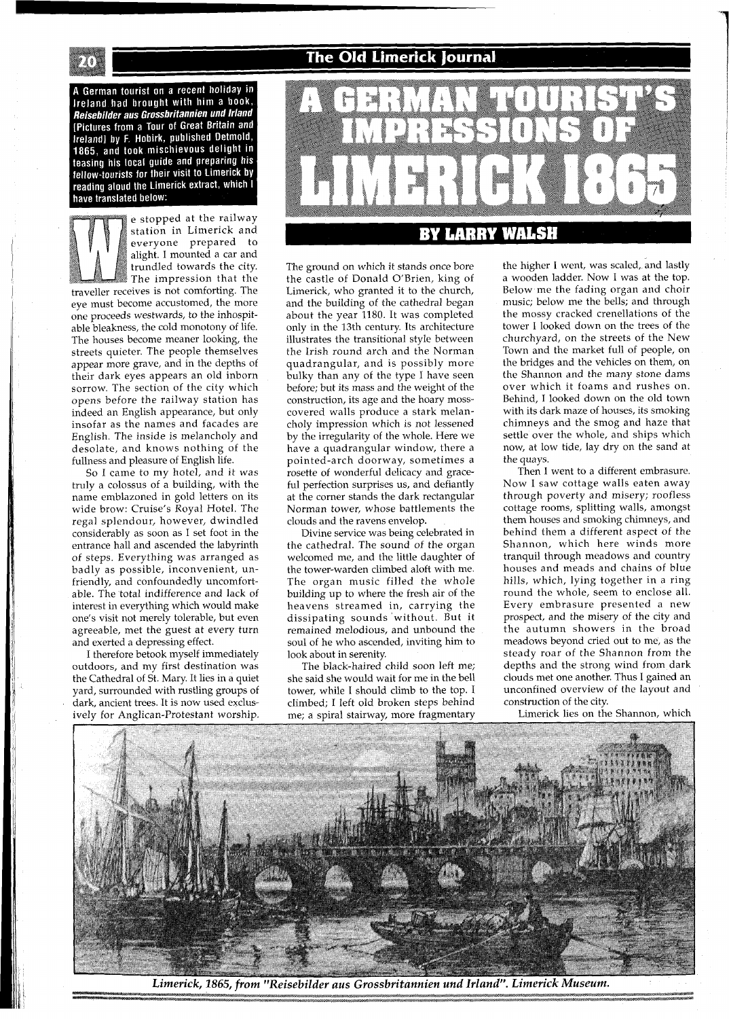A German tourist on a recent holiday in **Include the University of the University of the University Reisebilder aus Grossbritannien und Irland** [Pictures from a Tour of Great Britain and tributes from a four published Detmold, 1865, and took mischievous delight in teasing his local guide and preparing his fellow-tourists for their visit to Limerick by reading aloud the Limerick extract, which I have translated below:

e stopped at the railway station in Limerick and everyone prepared to alight. I mounted a car and trundled towards the city. The impression that the traveller receives is not comforting. The eye must become accustomed, the more one proceeds westwards, to the inhospitable bleakness, the cold monotony of life. The houses become meaner looking, the streets quieter. The people themselves appear more grave, and in the depths of their dark eyes appears an old inborn sorrow. The section of the city which opens before the railway station has indeed an English appearance, but only insofar as the names and facades are English. The inside is melancholy and desolate, and knows nothing of the fullness and pleasure of English life.

So I came to my hotel, and it was truly a colossus of a building, with the name emblazoned in gold letters on its wide brow: Cruise's Royal Hotel. The regal splendour, however, dwindled considerably as soon as I set foot in the entrance hall and ascended the labyrinth of steps. Everything was arranged as badly as possible, inconvenient, unfriendly, and confoundedly uncomfortable. The total indifference and lack of interest in everything which would make one's visit not merely tolerable, but even agreeable, met the guest at every turn and exerted a depressing effect.

I therefore betook myself immediately outdoors, and my first destination was the Cathedral of St. Mary. It lies in a quiet yard, surrounded with rustling groups of dark, ancient trees. It is now used exclusively for Anglican-Protestant worship.

## **The Old Limerick Journal**



The ground on which it stands once bore the castle of Donald O'Brien, king of Limerick, who granted it to the church, and the building of the cathedral began about the year 1180. It was completed only in the 13th century. Its architecture illustrates the transitional style between the Irish round arch and the Norman quadrangular, and is possibly more bulky than any of the type I have seen before; but its mass and the weight of the construction, its age and the hoary mosscovered walls produce a stark melancholy impression which is not lessened by the irregularity of the whole. Here we have a quadrangular window, there a pointed-arch doorway, sometimes a rosette of wonderful delicacy and graceful perfection surprises us, and defiantly at the corner stands the dark rectangular Norman tower, whose battlements the clouds and the ravens envelop.

Divine service was being celebrated in the cathedral. The sound of the organ welcomed me, and the little daughter of the tower-warden climbed aloft with me. The organ music filled the whole building up to where the fresh air of the heavens streamed in, carrying the dissipating sounds without. But it remained melodious, and unbound the soul of he who ascended, inviting him to look about in serenity.

The black-haired child soon left me; she said she would wait for me in the bell tower, while I should climb to the top. I climbed; I left old broken steps behind me; a spiral stairway, more fragmentary

the higher I went, was scaled, and lastly a wooden ladder. Now I was at the top. Below me the fading organ and choir music; below me the bells; and through the mossy cracked crenellations of the tower I looked down on the trees of the churchyard, on the streets of the New Town and the market full of people, on the bridges and the vehicles on them, on the Shannon and the many stone dams over which it foams and rushes on. Behind, I looked down on the old town with its dark maze of houses, its smoking chimneys and the smog and haze that settle over the whole, and ships which now, at low tide, lay dry on the sand at the quays.

Then I went to a different embrasure. Now I saw cottage walls eaten away through poverty and misery; roofless cottage rooms, splitting walls, amongst them houses and smoking chimneys, and behind them a different aspect of the Shannon, which here winds more tranquil through meadows and country houses and meads and chains of blue hills, which, lying together in a ring round the whole, seem to enclose all. Every embrasure presented a new prospect, and the misery of the city and the autumn showers in the broad meadows beyond cried out to me, as the steady roar of the Shannon from the depths and the strong wind from dark clouds met one another. Thus I gained an unconfined overview of the layout and construction of the city.

Limerick lies on the Shannon, which



Limerick, 1865, from "Reisebilder aus Grossbritannien und Irland". Limerick Museum.